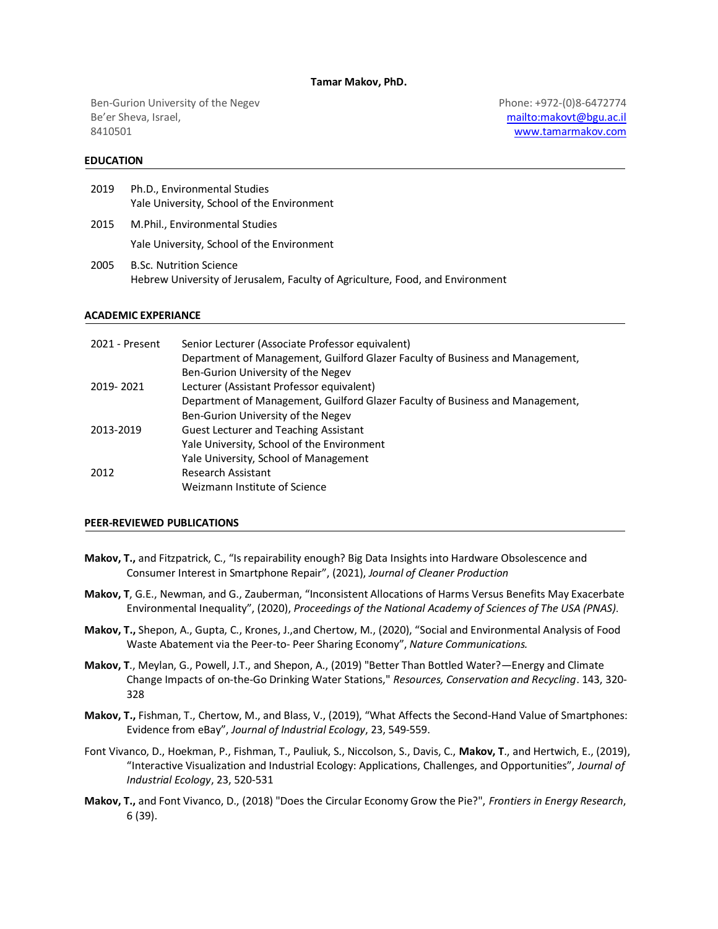#### **Tamar Makov, PhD.**

Ben-Gurion University of the Negev Be'er Sheva, Israel, 8410501

Phone: +972-(0)8-6472774 <mailto:makovt@bgu.ac.il> [www.tamarmakov.com](http://www.tamarmakov.com/)

## **EDUCATION**

| 2019 | Ph.D., Environmental Studies               |
|------|--------------------------------------------|
|      | Yale University, School of the Environment |
| 2015 | M.Phil., Environmental Studies             |

Yale University, School of the Environment

2005 B.Sc. Nutrition Science Hebrew University of Jerusalem, Faculty of Agriculture, Food, and Environment

### **ACADEMIC EXPERIANCE**

| 2021 - Present | Senior Lecturer (Associate Professor equivalent)                              |
|----------------|-------------------------------------------------------------------------------|
|                | Department of Management, Guilford Glazer Faculty of Business and Management, |
|                | Ben-Gurion University of the Negev                                            |
| 2019-2021      | Lecturer (Assistant Professor equivalent)                                     |
|                | Department of Management, Guilford Glazer Faculty of Business and Management, |
|                | Ben-Gurion University of the Negev                                            |
| 2013-2019      | <b>Guest Lecturer and Teaching Assistant</b>                                  |
|                | Yale University, School of the Environment                                    |
|                | Yale University, School of Management                                         |
| 2012           | Research Assistant                                                            |
|                | Weizmann Institute of Science                                                 |

## **PEER-REVIEWED PUBLICATIONS**

- **Makov, T.,** and Fitzpatrick, C., "Is repairability enough? Big Data Insights into Hardware Obsolescence and Consumer Interest in Smartphone Repair", (2021), *Journal of Cleaner Production*
- **Makov, T**, G.E., Newman, and G., Zauberman, "Inconsistent Allocations of Harms Versus Benefits May Exacerbate Environmental Inequality", (2020), *Proceedings of the National Academy of Sciences of The USA (PNAS)* .
- **Makov, T.,** Shepon, A., Gupta, C., Krones, J.,and Chertow, M., (2020), "Social and Environmental Analysis of Food Waste Abatement via the Peer-to- Peer Sharing Economy", *Nature Communications.*
- **Makov, T**., Meylan, G., Powell, J.T., and Shepon, A., (2019) "Better Than Bottled Water?—Energy and Climate Change Impacts of on-the-Go Drinking Water Stations," *Resources, Conservation and Recycling*. 143, 320- 328
- **Makov, T.,** Fishman, T., Chertow, M., and Blass, V., (2019), "What Affects the Second-Hand Value of Smartphones: Evidence from eBay", *Journal of Industrial Ecology*, 23, 549-559.
- Font Vivanco, D., Hoekman, P., Fishman, T., Pauliuk, S., Niccolson, S., Davis, C., **Makov, T**., and Hertwich, E., (2019), "Interactive Visualization and Industrial Ecology: Applications, Challenges, and Opportunities", *Journal of Industrial Ecology*, 23, 520-531
- **Makov, T.,** and Font Vivanco, D., (2018) "Does the Circular Economy Grow the Pie?", *Frontiers in Energy Research*, 6 (39).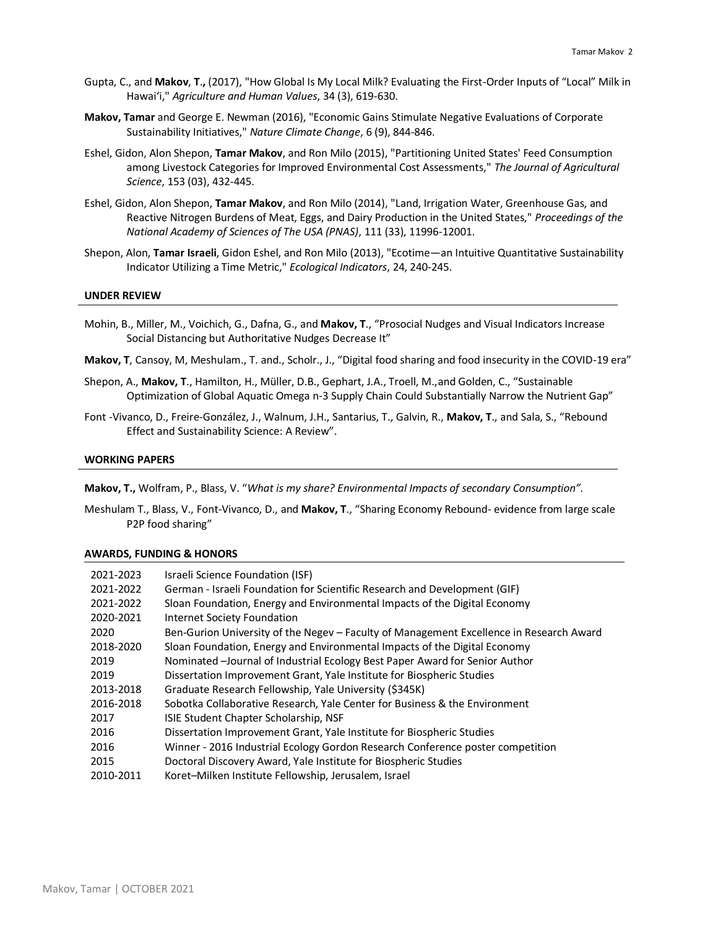- Gupta, C., and **Makov**, **T**.**,** (2017), "How Global Is My Local Milk? Evaluating the First-Order Inputs of "Local" Milk in Hawai'i," *Agriculture and Human Values*, 34 (3), 619-630.
- **Makov, Tamar** and George E. Newman (2016), "Economic Gains Stimulate Negative Evaluations of Corporate Sustainability Initiatives," *Nature Climate Change*, 6 (9), 844-846.
- Eshel, Gidon, Alon Shepon, **Tamar Makov**, and Ron Milo (2015), "Partitioning United States' Feed Consumption among Livestock Categories for Improved Environmental Cost Assessments," *The Journal of Agricultural Science*, 153 (03), 432-445.
- Eshel, Gidon, Alon Shepon, **Tamar Makov**, and Ron Milo (2014), "Land, Irrigation Water, Greenhouse Gas, and Reactive Nitrogen Burdens of Meat, Eggs, and Dairy Production in the United States," *Proceedings of the National Academy of Sciences of The USA (PNAS)*, 111 (33), 11996-12001.
- Shepon, Alon, **Tamar Israeli**, Gidon Eshel, and Ron Milo (2013), "Ecotime—an Intuitive Quantitative Sustainability Indicator Utilizing a Time Metric," *Ecological Indicators*, 24, 240-245.

#### **UNDER REVIEW**

- Mohin, B., Miller, M., Voichich, G., Dafna, G., and **Makov, T**., "Prosocial Nudges and Visual Indicators Increase Social Distancing but Authoritative Nudges Decrease It"
- **Makov, T**, Cansoy, M, Meshulam., T. and., Scholr., J., "Digital food sharing and food insecurity in the COVID-19 era"
- Shepon, A., **Makov, T**., Hamilton, H., Müller, D.B., Gephart, J.A., Troell, M.,and Golden, C., "Sustainable Optimization of Global Aquatic Omega n-3 Supply Chain Could Substantially Narrow the Nutrient Gap"
- Font -Vivanco, D., Freire-González, J., Walnum, J.H., Santarius, T., Galvin, R., **Makov, T**., and Sala, S., "Rebound Effect and Sustainability Science: A Review".

# **WORKING PAPERS**

**Makov, T.,** Wolfram, P., Blass, V. "*What is my share? Environmental Impacts of secondary Consumption".*

Meshulam T., Blass, V., Font-Vivanco, D., and **Makov, T**., "Sharing Economy Rebound- evidence from large scale P2P food sharing"

#### **AWARDS, FUNDING & HONORS**

| 2021-2023 | Israeli Science Foundation (ISF)                                                        |
|-----------|-----------------------------------------------------------------------------------------|
| 2021-2022 | German - Israeli Foundation for Scientific Research and Development (GIF)               |
| 2021-2022 | Sloan Foundation, Energy and Environmental Impacts of the Digital Economy               |
| 2020-2021 | <b>Internet Society Foundation</b>                                                      |
| 2020      | Ben-Gurion University of the Negev – Faculty of Management Excellence in Research Award |
| 2018-2020 | Sloan Foundation, Energy and Environmental Impacts of the Digital Economy               |
| 2019      | Nominated -Journal of Industrial Ecology Best Paper Award for Senior Author             |
| 2019      | Dissertation Improvement Grant, Yale Institute for Biospheric Studies                   |
| 2013-2018 | Graduate Research Fellowship, Yale University (\$345K)                                  |
| 2016-2018 | Sobotka Collaborative Research, Yale Center for Business & the Environment              |
| 2017      | ISIE Student Chapter Scholarship, NSF                                                   |
| 2016      | Dissertation Improvement Grant, Yale Institute for Biospheric Studies                   |
| 2016      | Winner - 2016 Industrial Ecology Gordon Research Conference poster competition          |
| 2015      | Doctoral Discovery Award, Yale Institute for Biospheric Studies                         |
| 2010-2011 | Koret-Milken Institute Fellowship, Jerusalem, Israel                                    |